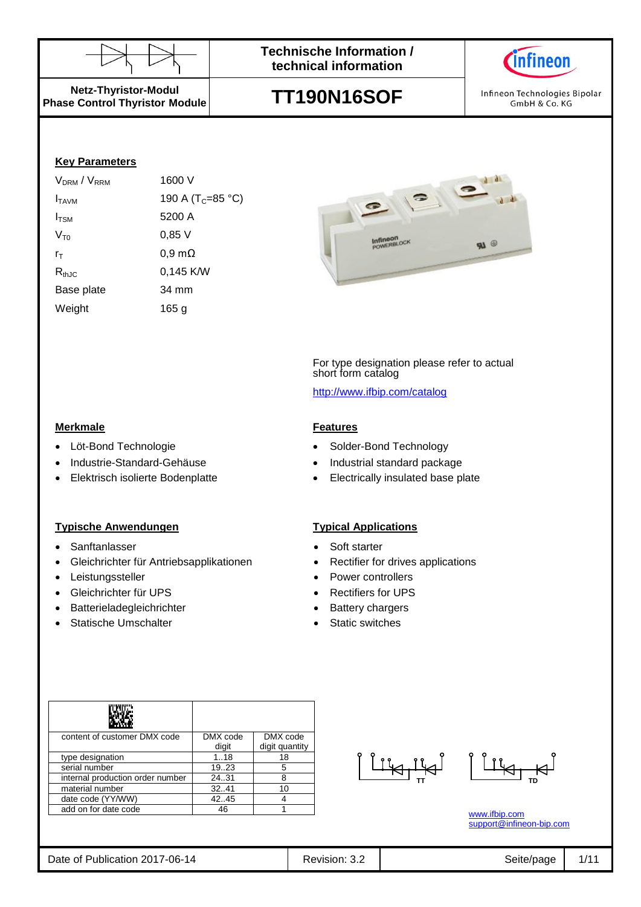



**Netz-Thyristor-Modul Phase Control Thyristor Module**

**TT190N16SOF**

Infineon Technologies Bipolar GmbH & Co. KG

## **Key Parameters**

| V <sub>DRM</sub> / V <sub>RRM</sub> | 1600 V                        |
|-------------------------------------|-------------------------------|
| I <sub>TAVM</sub>                   | 190 A (T <sub>C</sub> =85 °C) |
| $I_{TSM}$                           | 5200 A                        |
| $V_{\tau_0}$                        | 0,85V                         |
| $r_{\text{T}}$                      | $0,9 \text{ m}\Omega$         |
| $R_{thJC}$                          | 0,145 K/W                     |
| Base plate                          | 34 mm                         |
| Weight                              | 165 a                         |
|                                     |                               |



For type designation please refer to actual short form catalog

<http://www.ifbip.com/catalog>

## **Merkmale Features**

- Löt-Bond Technologie **by Contact Condensity** Solder-Bond Technology
	- Industrie-Standard-Gehäuse Industrial standard package
- Elektrisch isolierte Bodenplatte **Electrically insulated base plate**

## **Typische Anwendungen Typical Applications**

- Sanftanlasser Soft starter
- Gleichrichter für Antriebsapplikationen Rectifier for drives applications
- Leistungssteller **Controllers Power controllers**
- Gleichrichter für UPS Rectifiers for UPS
- Batterieladegleichrichter **abelicher Stattery chargers**
- Statische Umschalter **Static switches Static switches**

| content of customer DMX code     | DMX code | DMX code       |
|----------------------------------|----------|----------------|
|                                  | digit    | digit quantity |
| type designation                 | 1.18     | 18             |
| serial number                    | 1923     | 5              |
| internal production order number | 24.31    | 8              |
| material number                  | 32.41    | 10             |
| date code (YY/WW)                | 42.45    |                |
| add on for date code             | 46       |                |
|                                  |          |                |

 $\begin{bmatrix} \text{Tr}_{\mathbf{H}} & \text{Tr}_{\mathbf{H}} \\ \text{Tr}_{\mathbf{H}} & \text{Tr}_{\mathbf{H}} \end{bmatrix}$ 

[www.ifbip.com](http://www.ifbip.com/) [support@infineon-bip.com](mailto:support@infineon-bip.com)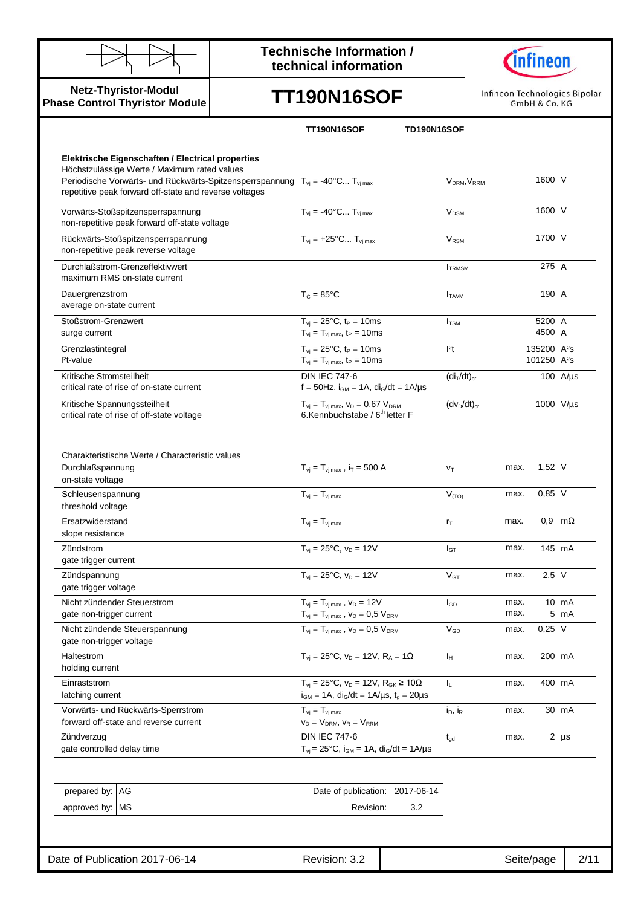



# **TT190N16SOF**

Infineon Technologies Bipolar GmbH & Co. KG

**Netz-Thyristor-Modul Phase Control Thyristor Module**

### **TT190N16SOF TD190N16SOF**

| Höchstzulässige Werte / Maximum rated values                                                                                                                   |                                                                                               |                                     |                                   |            |
|----------------------------------------------------------------------------------------------------------------------------------------------------------------|-----------------------------------------------------------------------------------------------|-------------------------------------|-----------------------------------|------------|
| Periodische Vorwärts- und Rückwärts-Spitzensperrspannung $T_{vi} = -40^{\circ}$ C T <sub>vimax</sub><br>repetitive peak forward off-state and reverse voltages |                                                                                               | V <sub>DRM</sub> , V <sub>RRM</sub> | 1600 V                            |            |
| Vorwärts-Stoßspitzensperrspannung<br>non-repetitive peak forward off-state voltage                                                                             | $T_{vi} = -40^{\circ}C T_{vi max}$                                                            | <b>V<sub>DSM</sub></b>              | 1600 V                            |            |
| Rückwärts-Stoßspitzensperrspannung<br>non-repetitive peak reverse voltage                                                                                      | $T_{vi}$ = +25°C $T_{vi}$ max                                                                 | $V_{\rm RSM}$                       | 1700 V                            |            |
| Durchlaßstrom-Grenzeffektivwert<br>maximum RMS on-state current                                                                                                |                                                                                               | <b>ITRMSM</b>                       | 275                               | A          |
| Dauergrenzstrom<br>average on-state current                                                                                                                    | $T_c = 85^{\circ}$ C                                                                          | <b>I</b> TAVM                       | 190 A                             |            |
| Stoßstrom-Grenzwert<br>surge current                                                                                                                           | $T_{vi} = 25^{\circ}C$ , $t_P = 10$ ms<br>$T_{vj} = T_{vj \max}, t_P = 10 \text{ms}$          | $I_{\text{TSM}}$                    | 5200 A<br>4500 A                  |            |
| Grenzlastintegral<br>$Pt$ -value                                                                                                                               | $T_{vi} = 25^{\circ}C$ , $t_P = 10$ ms<br>$T_{vj} = T_{vj \, max}$ , $t_P = 10 \, \text{ms}$  | 2t                                  | 135200<br>101250 A <sup>2</sup> s | $A^2S$     |
| Kritische Stromsteilheit<br>critical rate of rise of on-state current                                                                                          | <b>DIN IEC 747-6</b><br>f = 50Hz, $i_{GM}$ = 1A, $di_G/dt$ = 1A/µs                            | $(diT/dt)_{cr}$                     |                                   | $100$ A/µs |
| Kritische Spannungssteilheit<br>critical rate of rise of off-state voltage                                                                                     | $T_{vi} = T_{vi \, max}$ , $V_D = 0.67 V_{DRM}$<br>6.Kennbuchstabe / 6 <sup>th</sup> letter F | $(dv_D/dt)_{cr}$                    | 1000                              | $V/\mu s$  |
| Charakteristische Werte / Characteristic values                                                                                                                |                                                                                               |                                     |                                   |            |
| Durchlaßspannung<br>on-state voltage                                                                                                                           | $T_{vi} = T_{vi \, max}$ , $i_T = 500 \, \text{A}$                                            | V <sub>T</sub>                      | $1,52$ V<br>max.                  |            |

| Durchlaisspannung<br>on-state voltage                                       | $I_{vi} = I_{vi}$ max, $I_T = 500$ A                                                                                              | VT                         | нах.         | ۷   ۱٫۰۰ |                                   |
|-----------------------------------------------------------------------------|-----------------------------------------------------------------------------------------------------------------------------------|----------------------------|--------------|----------|-----------------------------------|
| Schleusenspannung<br>threshold voltage                                      | $T_{vi} = T_{vi \, max}$                                                                                                          | $V_{(TO)}$                 | max.         | $0,85$ V |                                   |
| Ersatzwiderstand<br>slope resistance                                        | $T_{vi} = T_{vj \text{ max}}$                                                                                                     | $r_{\rm T}$                | max.         | 0,9      | $\mathsf{Im}\Omega$               |
| Zündstrom<br>gate trigger current                                           | $T_{vi} = 25^{\circ}C$ , $v_D = 12V$                                                                                              | I <sub>GТ</sub>            | max.         | 145 mA   |                                   |
| Zündspannung<br>gate trigger voltage                                        | $T_{vi} = 25^{\circ}C$ , $V_D = 12V$                                                                                              | $V_{GT}$                   | max.         | $2,5$ V  |                                   |
| Nicht zündender Steuerstrom<br>gate non-trigger current                     | $T_{vj} = T_{vj \, max}$ , $V_D = 12V$<br>$T_{vj} = T_{vj \max}$ , $v_D = 0.5 V_{DRM}$                                            | l <sub>GD</sub>            | max.<br>max. |          | $10 \text{ mA}$<br>$5 \text{ mA}$ |
| Nicht zündende Steuerspannung<br>gate non-trigger voltage                   | $T_{vi} = T_{vi \, max}$ , $V_D = 0.5 V_{DRM}$                                                                                    | $\mathsf{V}_{\mathsf{GD}}$ | max.         | $0,25$ V |                                   |
| Haltestrom<br>holding current                                               | $T_{vi} = 25^{\circ}C$ , $V_D = 12V$ , $R_A = 1\Omega$                                                                            | Iн                         | max.         | 200 mA   |                                   |
| Einraststrom<br>latching current                                            | $T_{vi} = 25^{\circ}C$ , $v_D = 12V$ , $R_{GK} \ge 10\Omega$<br>$i_{GM}$ = 1A, di <sub>G</sub> /dt = 1A/us, t <sub>a</sub> = 20us | IL.                        | max.         | 400 mA   |                                   |
| Vorwärts- und Rückwärts-Sperrstrom<br>forward off-state and reverse current | $T_{vi} = T_{vi \, max}$<br>$V_D = V_{DRM}$ , $V_R = V_{RRM}$                                                                     | $i_D$ , $i_R$              | max.         |          | $30 \, \text{mA}$                 |
| Zündverzug<br>gate controlled delay time                                    | <b>DIN IEC 747-6</b><br>$T_{vi}$ = 25°C, $i_{GM}$ = 1A, $di_G/dt$ = 1A/ $\mu$ s                                                   | $t_{gd}$                   | max.         |          | $2 \mu s$                         |

| prepared by: AG |  | Date of publication:   2017-06-14 |  |
|-----------------|--|-----------------------------------|--|
| approved by: MS |  | Revision:                         |  |

Date of Publication 2017-06-14 | Revision: 3.2 | Seite/page | 2/11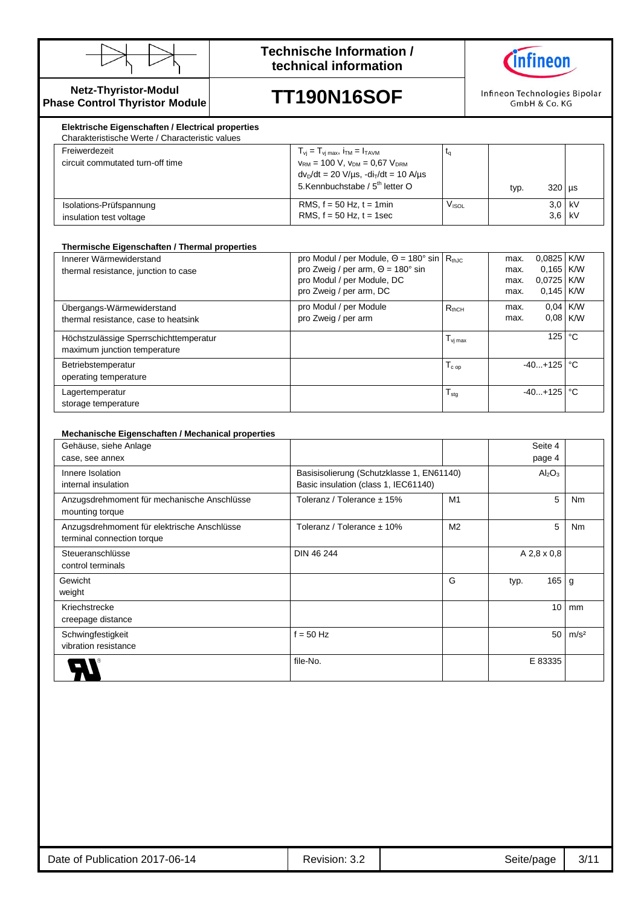



**Netz-Thyristor-Modul Phase Control Thyristor Module**

**TT190N16SOF**

Infineon Technologies Bipolar GmbH & Co. KG

#### $\frac{1}{\sqrt{2}}$ **Elektrische Eigenschaften / Electrical properties** Charakteristische Werte / Characteristic values Freiwerdezeit circuit commutated turn-off time  $T_{\nu j} = T_{\nu j \text{ max}}$ ,  $i_{\text{TM}} = I_{\text{TAVM}}$  $v_{\rm RM}$  = 100 V,  $v_{\rm DM}$  = 0,67 V<sub>DRM</sub>  $dv<sub>D</sub>/dt = 20 V/µs$ ,  $-di<sub>T</sub>/dt = 10 A/µs$ 5.Kennbuchstabe / 5<sup>th</sup> letter O  $t_q$ typ. 320 µs Isolations-Prüfspannung insulation test voltage RMS,  $f = 50$  Hz,  $t = 1$ min RMS,  $f = 50$  Hz,  $t = 1$ sec  $V<sub>ISOL</sub>$ 3,6  $3,0$  kV kV

### **Thermische Eigenschaften / Thermal properties**

| Innerer Wärmewiderstand<br>thermal resistance, junction to case        | pro Modul / per Module, $\Theta = 180^\circ$ sin $\mid R_{th,IC} \mid$<br>pro Zweig / per arm, $\Theta = 180^\circ$ sin |                    | 0,0825 K/W<br>max.<br>$0,165$ K/W<br>max.   |                          |
|------------------------------------------------------------------------|-------------------------------------------------------------------------------------------------------------------------|--------------------|---------------------------------------------|--------------------------|
|                                                                        | pro Modul / per Module, DC<br>pro Zweig / per arm, DC                                                                   |                    | $0.0725$ K/W<br>max.<br>$0,145$ K/W<br>max. |                          |
| Übergangs-Wärmewiderstand<br>thermal resistance, case to heatsink      | pro Modul / per Module<br>pro Zweig / per arm                                                                           | $R_{thCH}$         | max.<br>max.                                | $0.04$ K/W<br>$0.08$ K/W |
| Höchstzulässige Sperrschichttemperatur<br>maximum junction temperature |                                                                                                                         | $T_{\rm vi\,max}$  | 125 °C                                      |                          |
| Betriebstemperatur<br>operating temperature                            |                                                                                                                         | $T_{c \text{ op}}$ | $-40+125$ °C                                |                          |
| Lagertemperatur<br>storage temperature                                 |                                                                                                                         | $I_{\text{stq}}$   | $-40+125$ °C                                |                          |

| <b>Mechanische Eigenschaften / Mechanical properties</b> |                                      |                                           |                    |                  |
|----------------------------------------------------------|--------------------------------------|-------------------------------------------|--------------------|------------------|
| Gehäuse, siehe Anlage                                    |                                      |                                           | Seite 4            |                  |
| case, see annex                                          |                                      |                                           | page 4             |                  |
| Innere Isolation                                         |                                      | Basisisolierung (Schutzklasse 1, EN61140) |                    |                  |
| internal insulation                                      | Basic insulation (class 1, IEC61140) |                                           |                    |                  |
| Anzugsdrehmoment für mechanische Anschlüsse              | Toleranz / Tolerance $\pm$ 15%       | M1                                        | 5                  | N <sub>m</sub>   |
| mounting torque                                          |                                      |                                           |                    |                  |
| Anzugsdrehmoment für elektrische Anschlüsse              | Toleranz / Tolerance ± 10%           | M <sub>2</sub>                            | 5                  | Nm               |
| terminal connection torque                               |                                      |                                           |                    |                  |
| Steueranschlüsse                                         | DIN 46 244                           |                                           | $A 2,8 \times 0,8$ |                  |
| control terminals                                        |                                      |                                           |                    |                  |
| Gewicht                                                  |                                      | G                                         | 165<br>typ.        | g                |
| weight                                                   |                                      |                                           |                    |                  |
| Kriechstrecke                                            |                                      |                                           | 10                 | mm               |
| creepage distance                                        |                                      |                                           |                    |                  |
| Schwingfestigkeit                                        | $f = 50$ Hz                          |                                           | 50                 | m/s <sup>2</sup> |
| vibration resistance                                     |                                      |                                           |                    |                  |
|                                                          | file-No.                             |                                           | E 83335            |                  |
|                                                          |                                      |                                           |                    |                  |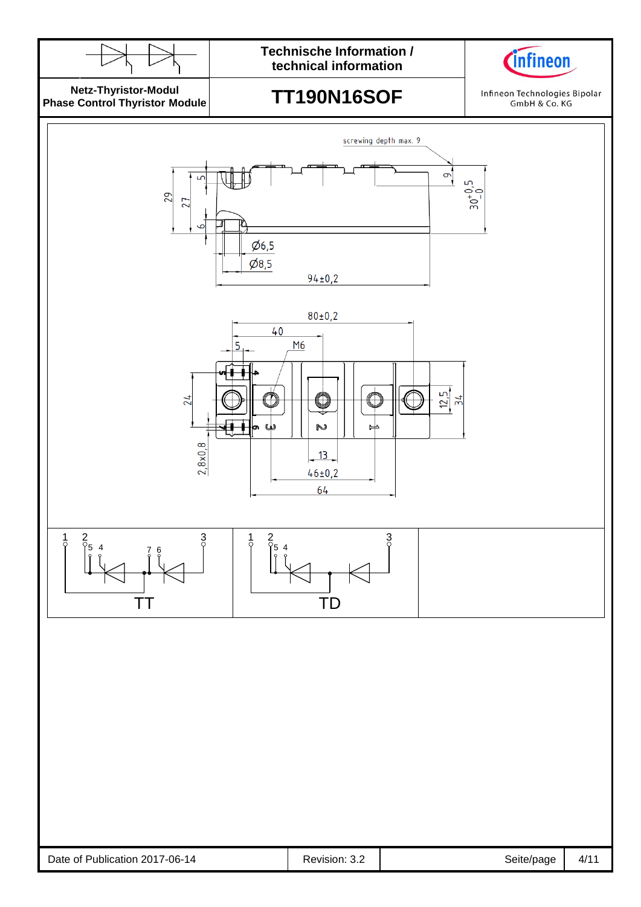

# **TT190N16SOF**



Infineon Technologies Bipolar GmbH & Co. KG

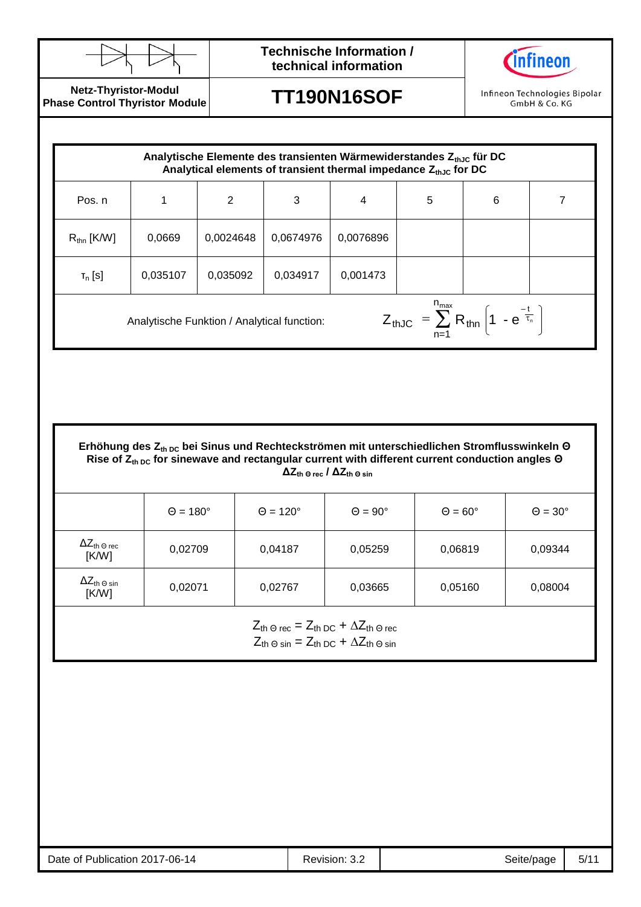



**Netz-Thyristor-Modul Phase Control Thyristor Module**

**TT190N16SOF**

Infineon Technologies Bipolar GmbH & Co. KG

| Analytische Elemente des transienten Wärmewiderstandes $Z_{th,lc}$ für DC<br>Analytical elements of transient thermal impedance Z <sub>thJC</sub> for DC |          |           |           |           |   |   |  |
|----------------------------------------------------------------------------------------------------------------------------------------------------------|----------|-----------|-----------|-----------|---|---|--|
| Pos. n                                                                                                                                                   |          | 2         | 3         | 4         | 5 | 6 |  |
| $R_{\text{thn}}$ [K/W]                                                                                                                                   | 0,0669   | 0,0024648 | 0,0674976 | 0,0076896 |   |   |  |
| $T_n$ [S]                                                                                                                                                | 0,035107 | 0,035092  | 0,034917  | 0,001473  |   |   |  |
| $Z_{thJC} = \sum_{n=1}^{n_{max}} R_{thn} \left( 1 - e^{\frac{-t}{\tau_n}} \right)$<br>Analytische Funktion / Analytical function:                        |          |           |           |           |   |   |  |

**Erhöhung des Zth DC bei Sinus und Rechteckströmen mit unterschiedlichen Stromflusswinkeln Θ Rise of Zth DC for sinewave and rectangular current with different current conduction angles Θ ΔZth Θ rec / ΔZth Θ sin**

|                                                       | $\Theta = 180^\circ$ | $\Theta = 120^\circ$ | $\Theta = 90^\circ$ | $\Theta = 60^\circ$ | $\Theta = 30^\circ$ |
|-------------------------------------------------------|----------------------|----------------------|---------------------|---------------------|---------------------|
| $\Delta Z_{\text{th} \,\odot \, \text{rec}}$<br>[K/W] | 0,02709              | 0,04187              | 0,05259             | 0,06819             | 0,09344             |
| $\Delta Z_{\text{th}}$ $_{\odot}$ sin<br>[K/W]        | 0,02071              | 0,02767              | 0,03665             | 0,05160             | 0,08004             |

 $Z_{\text{th}} \odot \text{rec} = Z_{\text{th DC}} + \Delta Z_{\text{th}} \odot \text{rec}$  $Z_{\text{th}} \odot \sin = Z_{\text{th DC}} + \Delta Z_{\text{th}} \odot \sin$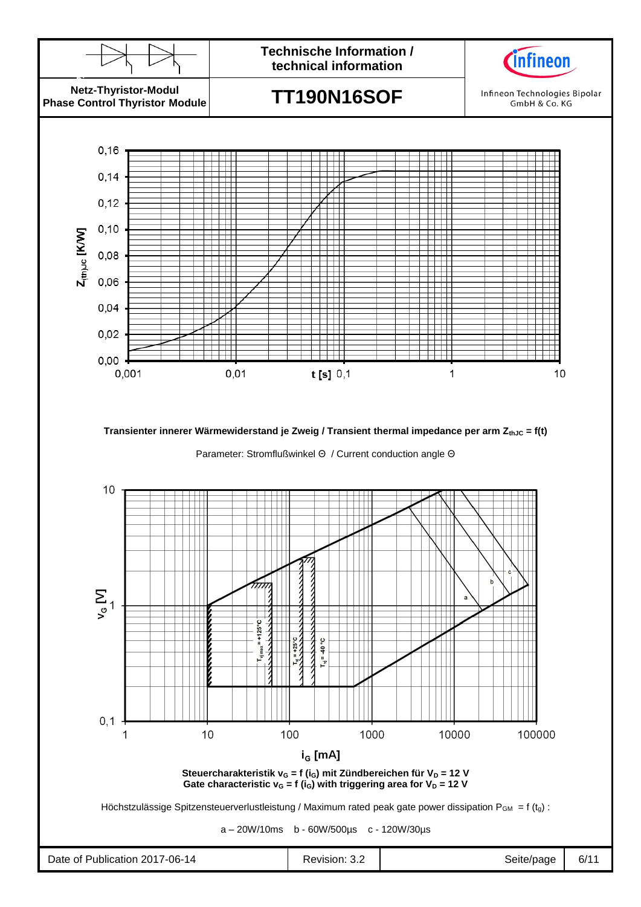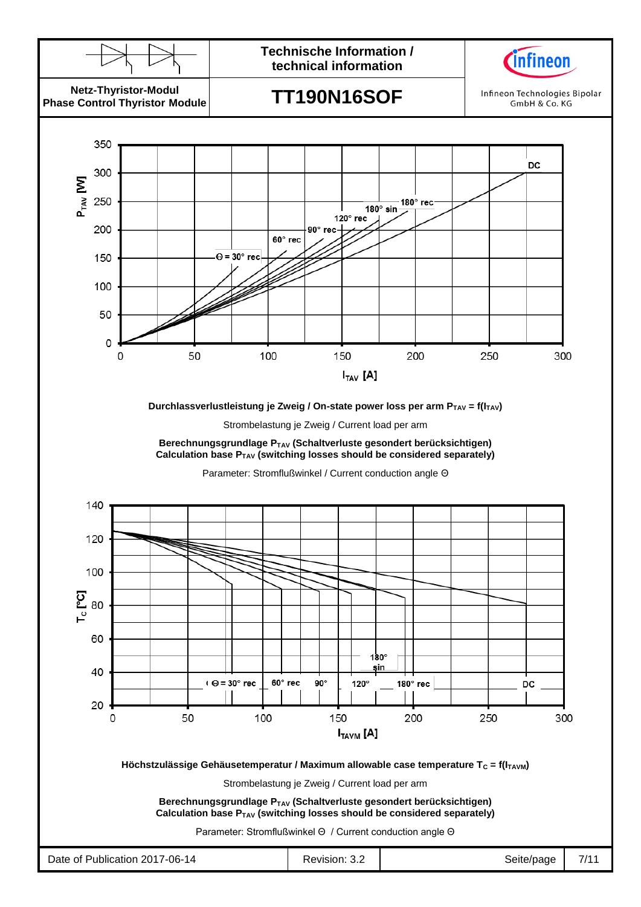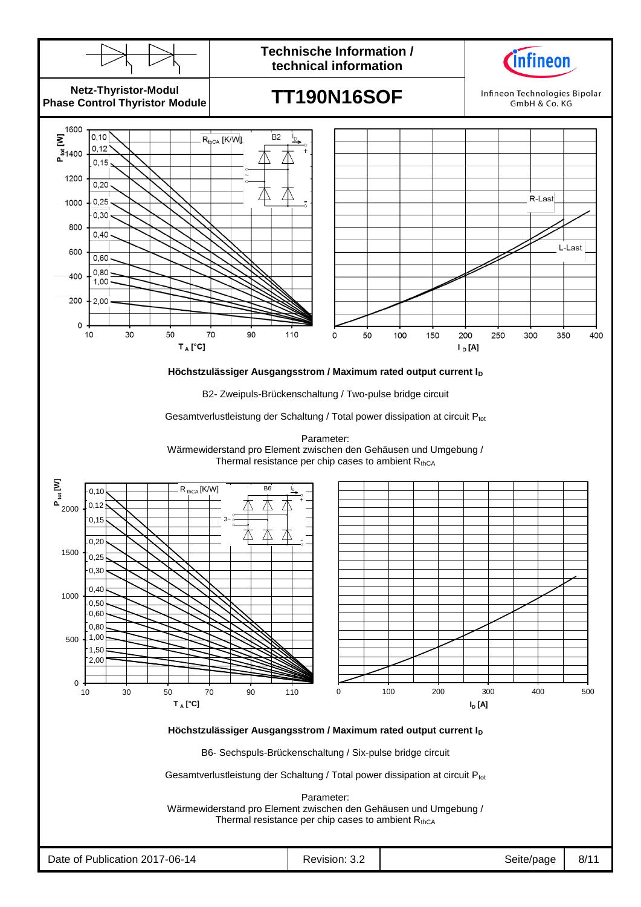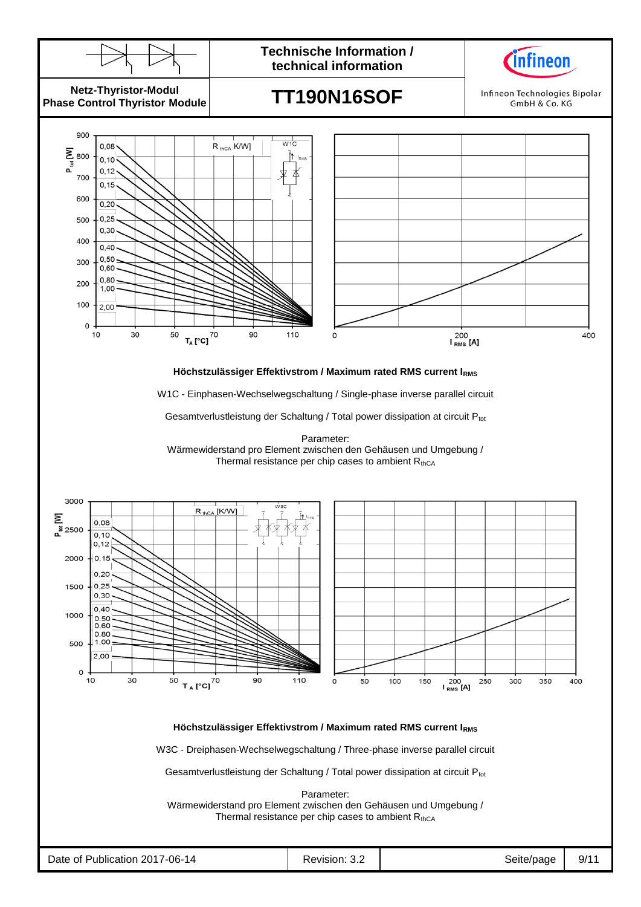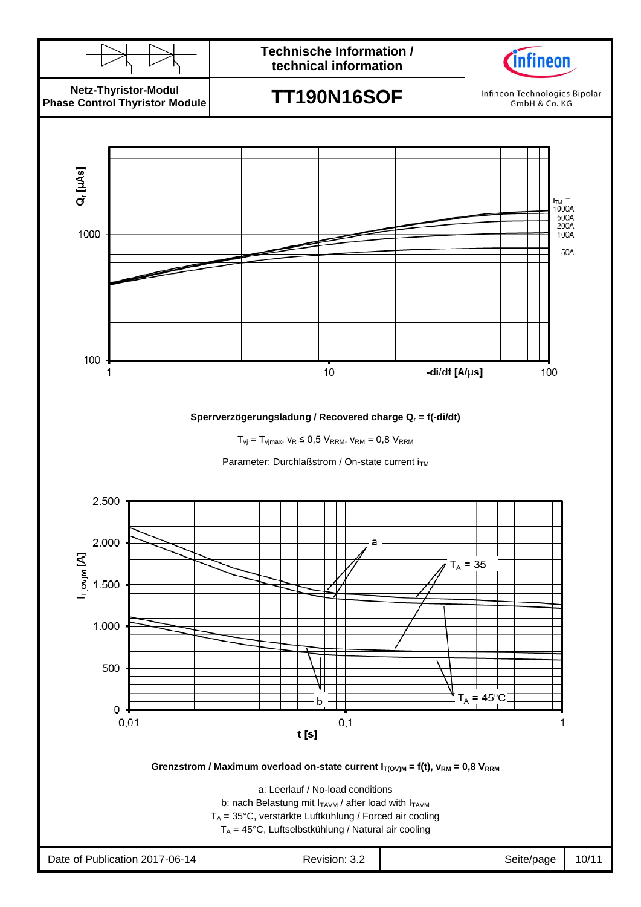